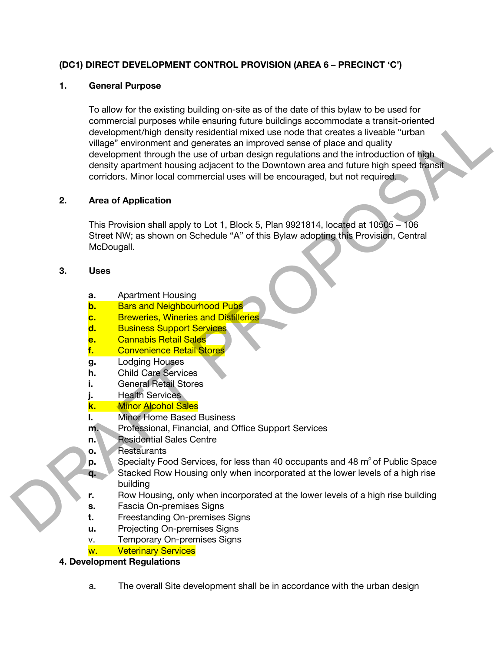# **(DC1) DIRECT DEVELOPMENT CONTROL PROVISION (AREA 6 – PRECINCT 'C')**

#### **1. General Purpose**

To allow for the existing building on-site as of the date of this bylaw to be used for commercial purposes while ensuring future buildings accommodate a transit-oriented development/high density residential mixed use node that creates a liveable "urban village" environment and generates an improved sense of place and quality development through the use of urban design regulations and the introduction of high density apartment housing adjacent to the Downtown area and future high speed transit corridors. Minor local commercial uses will be encouraged, but not required. common constraint proposes while ensaying future buildings accommodation at transit constraint and the series of plane and quality development through the use of the flavor equalities and the interduction of high developme

# **2. Area of Application**

This Provision shall apply to Lot 1, Block 5, Plan 9921814, located at 10505 – 106 Street NW; as shown on Schedule "A" of this Bylaw adopting this Provision, Central McDougall.

#### **3. Uses**

- **a.** Apartment Housing
- **b.** Bars and Neighbourhood Pubs
- **c.** Breweries, Wineries and Distilleries
- **d.** Business Support Services
- **e.** Cannabis Retail Sales
- **f.** Convenience Retail Stores
- **g.** Lodging Houses
- **h.** Child Care Services
- **i.** General Retail Stores
- **j.** Health Services
- **k.** Minor Alcohol Sales
- **l.** Minor Home Based Business
- **m.** Professional, Financial, and Office Support Services
- **n.** Residential Sales Centre
- **o.** Restaurants
- **p.** Specialty Food Services, for less than 40 occupants and 48 m<sup>2</sup> of Public Space
- **q.** Stacked Row Housing only when incorporated at the lower levels of a high rise building
- **r.** Row Housing, only when incorporated at the lower levels of a high rise building
- **s.** Fascia On-premises Signs
- **t.** Freestanding On-premises Signs
- **u.** Projecting On-premises Signs
- v. Temporary On-premises Signs
- w. Veterinary Services

# **4. Development Regulations**

a. The overall Site development shall be in accordance with the urban design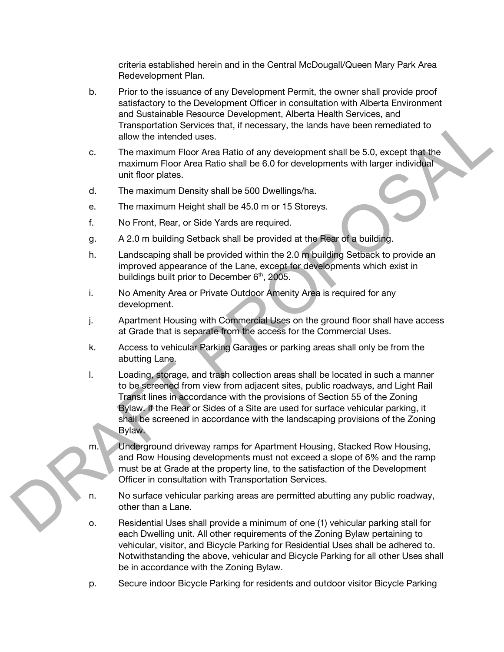criteria established herein and in the Central McDougall/Queen Mary Park Area Redevelopment Plan.

- b. Prior to the issuance of any Development Permit, the owner shall provide proof satisfactory to the Development Officer in consultation with Alberta Environment and Sustainable Resource Development, Alberta Health Services, and Transportation Services that, if necessary, the lands have been remediated to allow the intended uses.
- c. The maximum Floor Area Ratio of any development shall be 5.0, except that the maximum Floor Area Ratio shall be 6.0 for developments with larger individual unit floor plates.
- d. The maximum Density shall be 500 Dwellings/ha.
- e. The maximum Height shall be 45.0 m or 15 Storeys.
- f. No Front, Rear, or Side Yards are required.
- g. A 2.0 m building Setback shall be provided at the Rear of a building.
- h. Landscaping shall be provided within the 2.0 m building Setback to provide an improved appearance of the Lane, except for developments which exist in buildings built prior to December  $6<sup>th</sup>$ , 2005.
- i. No Amenity Area or Private Outdoor Amenity Area is required for any development.
- j. Apartment Housing with Commercial Uses on the ground floor shall have access at Grade that is separate from the access for the Commercial Uses.
- k. Access to vehicular Parking Garages or parking areas shall only be from the abutting Lane.
- l. Loading, storage, and trash collection areas shall be located in such a manner to be screened from view from adjacent sites, public roadways, and Light Rail Transit lines in accordance with the provisions of Section 55 of the Zoning Bylaw. If the Rear or Sides of a Site are used for surface vehicular parking, it shall be screened in accordance with the landscaping provisions of the Zoning Bylaw. Transportation Services and It is the cost of the based of the Solicity and the Solicity of the model in the model in the model in the model in the model in the model in the model in the model in the model in the model in
	- m. Underground driveway ramps for Apartment Housing, Stacked Row Housing, and Row Housing developments must not exceed a slope of 6% and the ramp must be at Grade at the property line, to the satisfaction of the Development Officer in consultation with Transportation Services.
	- n. No surface vehicular parking areas are permitted abutting any public roadway, other than a Lane.
	- o. Residential Uses shall provide a minimum of one (1) vehicular parking stall for each Dwelling unit. All other requirements of the Zoning Bylaw pertaining to vehicular, visitor, and Bicycle Parking for Residential Uses shall be adhered to. Notwithstanding the above, vehicular and Bicycle Parking for all other Uses shall be in accordance with the Zoning Bylaw.
	- p. Secure indoor Bicycle Parking for residents and outdoor visitor Bicycle Parking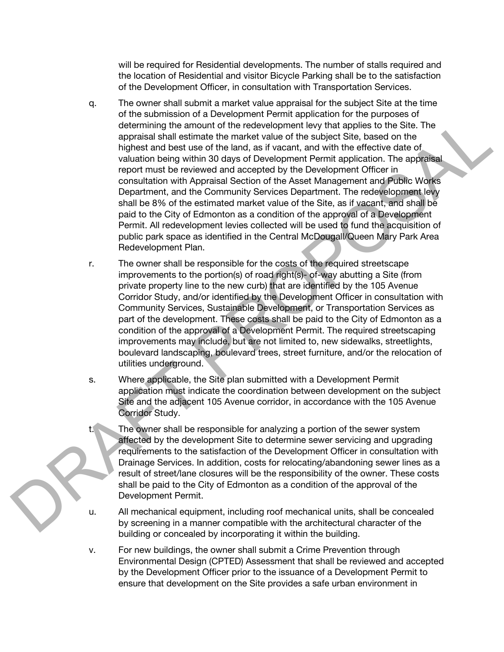will be required for Residential developments. The number of stalls required and the location of Residential and visitor Bicycle Parking shall be to the satisfaction of the Development Officer, in consultation with Transportation Services.

- q. The owner shall submit a market value appraisal for the subject Site at the time of the submission of a Development Permit application for the purposes of determining the amount of the redevelopment levy that applies to the Site. The appraisal shall estimate the market value of the subject Site, based on the highest and best use of the land, as if vacant, and with the effective date of valuation being within 30 days of Development Permit application. The appraisal report must be reviewed and accepted by the Development Officer in consultation with Appraisal Section of the Asset Management and Public Works Department, and the Community Services Department. The redevelopment levy shall be 8% of the estimated market value of the Site, as if vacant, and shall be paid to the City of Edmonton as a condition of the approval of a Development Permit. All redevelopment levies collected will be used to fund the acquisition of public park space as identified in the Central McDougall/Queen Mary Park Area Redevelopment Plan. decemming the amount of the reaction<br>permette is the statistical of the subject Sirk, based on the Site, The specialist statistical terms of the factor<br>of the factor of the subject Sirk, based on the Inplanet the matter wi
	- r. The owner shall be responsible for the costs of the required streetscape improvements to the portion(s) of road right(s)- of-way abutting a Site (from private property line to the new curb) that are identified by the 105 Avenue Corridor Study, and/or identified by the Development Officer in consultation with Community Services, Sustainable Development, or Transportation Services as part of the development. These costs shall be paid to the City of Edmonton as a condition of the approval of a Development Permit. The required streetscaping improvements may include, but are not limited to, new sidewalks, streetlights, boulevard landscaping, boulevard trees, street furniture, and/or the relocation of utilities underground.
	- s. Where applicable, the Site plan submitted with a Development Permit application must indicate the coordination between development on the subject Site and the adjacent 105 Avenue corridor, in accordance with the 105 Avenue Corridor Study.
		- The owner shall be responsible for analyzing a portion of the sewer system affected by the development Site to determine sewer servicing and upgrading requirements to the satisfaction of the Development Officer in consultation with Drainage Services. In addition, costs for relocating/abandoning sewer lines as a result of street/lane closures will be the responsibility of the owner. These costs shall be paid to the City of Edmonton as a condition of the approval of the Development Permit.
	- u. All mechanical equipment, including roof mechanical units, shall be concealed by screening in a manner compatible with the architectural character of the building or concealed by incorporating it within the building.
	- v. For new buildings, the owner shall submit a Crime Prevention through Environmental Design (CPTED) Assessment that shall be reviewed and accepted by the Development Officer prior to the issuance of a Development Permit to ensure that development on the Site provides a safe urban environment in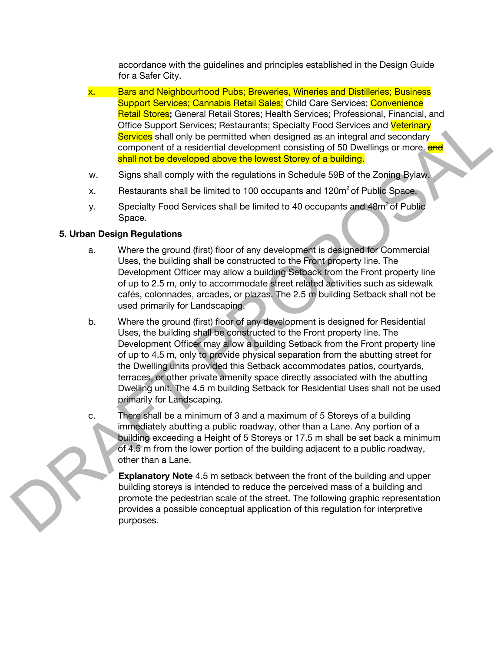accordance with the guidelines and principles established in the Design Guide for a Safer City.

- x. Bars and Neighbourhood Pubs; Breweries, Wineries and Distilleries; Business Support Services; Cannabis Retail Sales; Child Care Services; Convenience Retail Stores**;** General Retail Stores; Health Services; Professional, Financial, and Office Support Services; Restaurants; Specialty Food Services and Veterinary Services shall only be permitted when designed as an integral and secondary component of a residential development consisting of 50 Dwellings or more. **and** shall not be developed above the lowest Storey of a building.
- w. Signs shall comply with the regulations in Schedule 59B of the Zoning Bylaw.
- x. Restaurants shall be limited to 100 occupants and  $120\mathrm{m}^2$  of Public Space.
- y. Specialty Food Services shall be limited to 40 occupants and 48m<sup>2</sup> of Public Space.

# **5. Urban Design Regulations**

- a. Where the ground (first) floor of any development is designed for Commercial Uses, the building shall be constructed to the Front property line. The Development Officer may allow a building Setback from the Front property line of up to 2.5 m, only to accommodate street related activities such as sidewalk cafés, colonnades, arcades, or plazas. The 2.5 m building Setback shall not be used primarily for Landscaping. brucial concess, i clearing to device and **Veterinary**<br>vices; Restaurants; Specialty Food Services and **Veterinary**<br>be permitted when designed as an integral and secondary<br>sidential development consisting of 50 Dwellings o
- b. Where the ground (first) floor of any development is designed for Residential Uses, the building shall be constructed to the Front property line. The Development Officer may allow a building Setback from the Front property line of up to 4.5 m, only to provide physical separation from the abutting street for the Dwelling units provided this Setback accommodates patios, courtyards, terraces, or other private amenity space directly associated with the abutting Dwelling unit. The 4.5 m building Setback for Residential Uses shall not be used primarily for Landscaping.
- c. There shall be a minimum of 3 and a maximum of 5 Storeys of a building immediately abutting a public roadway, other than a Lane. Any portion of a building exceeding a Height of 5 Storeys or 17.5 m shall be set back a minimum of 4.5 m from the lower portion of the building adjacent to a public roadway, other than a Lane.

**Explanatory Note** 4.5 m setback between the front of the building and upper building storeys is intended to reduce the perceived mass of a building and promote the pedestrian scale of the street. The following graphic representation provides a possible conceptual application of this regulation for interpretive purposes.

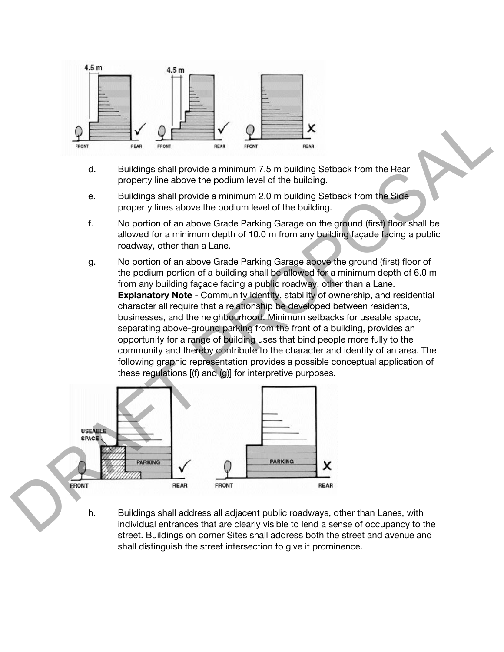

- d. Buildings shall provide a minimum 7.5 m building Setback from the Rear property line above the podium level of the building.
- e. Buildings shall provide a minimum 2.0 m building Setback from the Side property lines above the podium level of the building.
- f. No portion of an above Grade Parking Garage on the ground (first) floor shall be allowed for a minimum depth of 10.0 m from any building façade facing a public roadway, other than a Lane.
- g. No portion of an above Grade Parking Garage above the ground (first) floor of the podium portion of a building shall be allowed for a minimum depth of 6.0 m from any building façade facing a public roadway, other than a Lane. **Explanatory Note** - Community identity, stability of ownership, and residential character all require that a relationship be developed between residents, businesses, and the neighbourhood. Minimum setbacks for useable space, separating above-ground parking from the front of a building, provides an opportunity for a range of building uses that bind people more fully to the community and thereby contribute to the character and identity of an area. The following graphic representation provides a possible conceptual application of these regulations [(f) and (g)] for interpretive purposes. X<br>
Wide a minimum 7.5 m building Setback from the Rear<br>
vide a minimum 7.5 m building Setback from the Rear<br>
vide a minimum 2.0 m building.<br>
wide a minimum 2.0 m building.<br>
bove Grade Parking Garage on the ground (first) f



h. Buildings shall address all adjacent public roadways, other than Lanes, with individual entrances that are clearly visible to lend a sense of occupancy to the street. Buildings on corner Sites shall address both the street and avenue and shall distinguish the street intersection to give it prominence.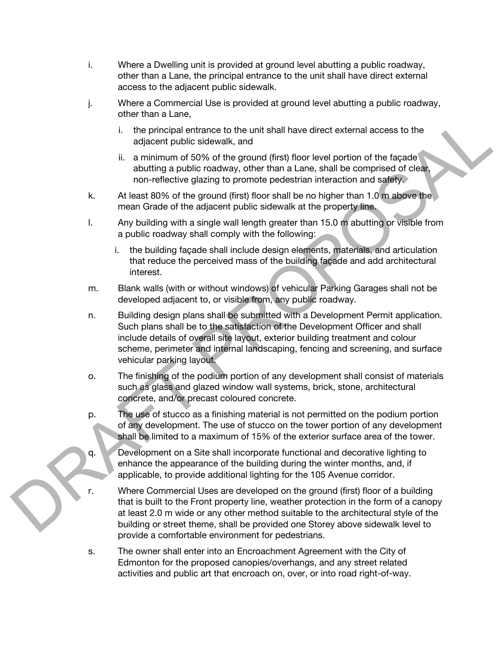- i. Where a Dwelling unit is provided at ground level abutting a public roadway, other than a Lane, the principal entrance to the unit shall have direct external access to the adjacent public sidewalk.
- j. Where a Commercial Use is provided at ground level abutting a public roadway, other than a Lane,
	- i. the principal entrance to the unit shall have direct external access to the adjacent public sidewalk, and
	- ii. a minimum of 50% of the ground (first) floor level portion of the façade abutting a public roadway, other than a Lane, shall be comprised of clear, non-reflective glazing to promote pedestrian interaction and safety.
- k. At least 80% of the ground (first) floor shall be no higher than 1.0 m above the mean Grade of the adjacent public sidewalk at the property line.
- l. Any building with a single wall length greater than 15.0 m abutting or visible from a public roadway shall comply with the following:
	- i. the building façade shall include design elements, materials, and articulation that reduce the perceived mass of the building façade and add architectural interest.
- m. Blank walls (with or without windows) of vehicular Parking Garages shall not be developed adjacent to, or visible from, any public roadway.
- n. Building design plans shall be submitted with a Development Permit application. Such plans shall be to the satisfaction of the Development Officer and shall include details of overall site layout, exterior building treatment and colour scheme, perimeter and internal landscaping, fencing and screening, and surface vehicular parking layout. L. the principal entrance to the unit shall have direct external access to the<br>
L. the principal entrance to the unit slag way, that than a Lane, shall be completed to the accessory, the first floor level portion of the fr
	- o. The finishing of the podium portion of any development shall consist of materials such as glass and glazed window wall systems, brick, stone, architectural concrete, and/or precast coloured concrete.
	- p. The use of stucco as a finishing material is not permitted on the podium portion of any development. The use of stucco on the tower portion of any development shall be limited to a maximum of 15% of the exterior surface area of the tower.
	- q. Development on a Site shall incorporate functional and decorative lighting to enhance the appearance of the building during the winter months, and, if applicable, to provide additional lighting for the 105 Avenue corridor.
	- r. Where Commercial Uses are developed on the ground (first) floor of a building that is built to the Front property line, weather protection in the form of a canopy at least 2.0 m wide or any other method suitable to the architectural style of the building or street theme, shall be provided one Storey above sidewalk level to provide a comfortable environment for pedestrians.
	- s. The owner shall enter into an Encroachment Agreement with the City of Edmonton for the proposed canopies/overhangs, and any street related activities and public art that encroach on, over, or into road right-of-way.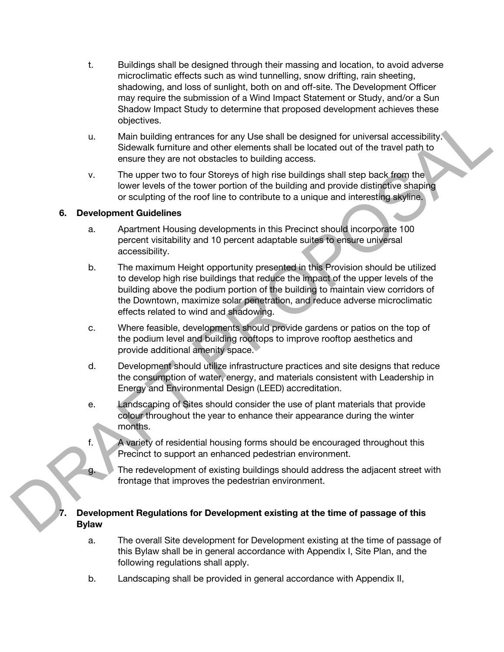- t. Buildings shall be designed through their massing and location, to avoid adverse microclimatic effects such as wind tunnelling, snow drifting, rain sheeting, shadowing, and loss of sunlight, both on and off-site. The Development Officer may require the submission of a Wind Impact Statement or Study, and/or a Sun Shadow Impact Study to determine that proposed development achieves these objectives.
- u. Main building entrances for any Use shall be designed for universal accessibility. Sidewalk furniture and other elements shall be located out of the travel path to ensure they are not obstacles to building access.
- v. The upper two to four Storeys of high rise buildings shall step back from the lower levels of the tower portion of the building and provide distinctive shaping or sculpting of the roof line to contribute to a unique and interesting skyline.

#### **6. Development Guidelines**

- a. Apartment Housing developments in this Precinct should incorporate 100 percent visitability and 10 percent adaptable suites to ensure universal accessibility.
- b. The maximum Height opportunity presented in this Provision should be utilized to develop high rise buildings that reduce the impact of the upper levels of the building above the podium portion of the building to maintain view corridors of the Downtown, maximize solar penetration, and reduce adverse microclimatic effects related to wind and shadowing. ti. Main building entrances for any Use shall be designed for universal accessibility,<br>
Signewik furntiure and other elements shall be located out of the furval path to<br>
Signewik furntiure and other elements shall be loc
	- c. Where feasible, developments should provide gardens or patios on the top of the podium level and building rooftops to improve rooftop aesthetics and provide additional amenity space.
	- d. Development should utilize infrastructure practices and site designs that reduce the consumption of water, energy, and materials consistent with Leadership in Energy and Environmental Design (LEED) accreditation.
	- e. Landscaping of Sites should consider the use of plant materials that provide colour throughout the year to enhance their appearance during the winter months.
	- f. A variety of residential housing forms should be encouraged throughout this Precinct to support an enhanced pedestrian environment.
	- g. The redevelopment of existing buildings should address the adjacent street with frontage that improves the pedestrian environment.

#### **7. Development Regulations for Development existing at the time of passage of this Bylaw**

- a. The overall Site development for Development existing at the time of passage of this Bylaw shall be in general accordance with Appendix I, Site Plan, and the following regulations shall apply.
- b. Landscaping shall be provided in general accordance with Appendix II,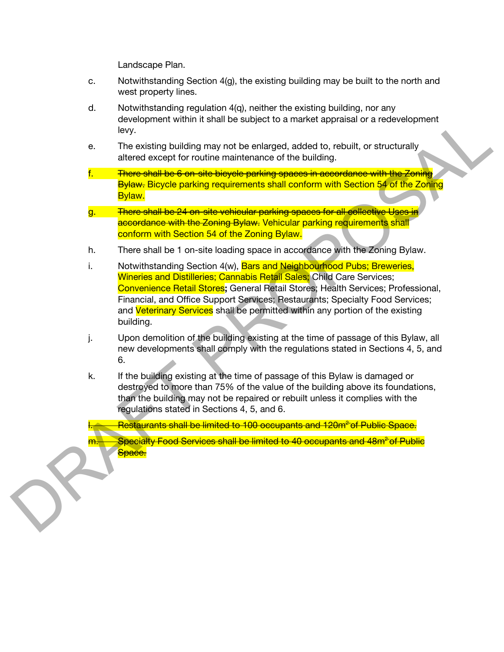Landscape Plan.

- c. Notwithstanding Section 4(g), the existing building may be built to the north and west property lines.
- d. Notwithstanding regulation 4(q), neither the existing building, nor any development within it shall be subject to a market appraisal or a redevelopment levy.
- e. The existing building may not be enlarged, added to, rebuilt, or structurally altered except for routine maintenance of the building.
- f. There shall be 6 on-site bicycle parking spaces in accordance with the Zoning **Bylaw.** Bicycle parking requirements shall conform with Section 54 of the Zoning Bylaw.
- g. There shall be 24 on-site vehicular parking spaces for all collective Uses in accordance with the Zoning Bylaw. Vehicular parking requirements shall conform with Section 54 of the Zoning Bylaw.
- h. There shall be 1 on-site loading space in accordance with the Zoning Bylaw.
- i. Notwithstanding Section 4(w), Bars and Neighbourhood Pubs; Breweries, Wineries and Distilleries; Cannabis Retail Sales; Child Care Services; Convenience Retail Stores**;** General Retail Stores; Health Services; Professional, Financial, and Office Support Services; Restaurants; Specialty Food Services; and Veterinary Services shall be permitted within any portion of the existing building. development within it shall be subject to a market appraisal or a redevelopment<br>
in excepting building may not be enlarged, added to, rebuilt, or structurally<br>
altered except for routine maintenance of the building.<br> **Ther** 
	- j. Upon demolition of the building existing at the time of passage of this Bylaw, all new developments shall comply with the regulations stated in Sections 4, 5, and 6.
	- k. If the building existing at the time of passage of this Bylaw is damaged or destroyed to more than 75% of the value of the building above its foundations, than the building may not be repaired or rebuilt unless it complies with the regulations stated in Sections 4, 5, and 6.

Restaurants shall be limited to 100 occupants and 120m<sup>2</sup> of Public Space.

Specialty Food Services shall be limited to 40 occupants and 48m<sup>2</sup>of Public Space.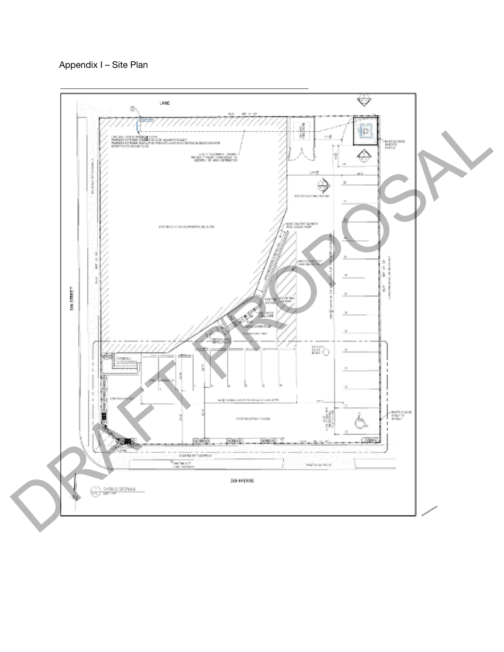Appendix I – Site Plan